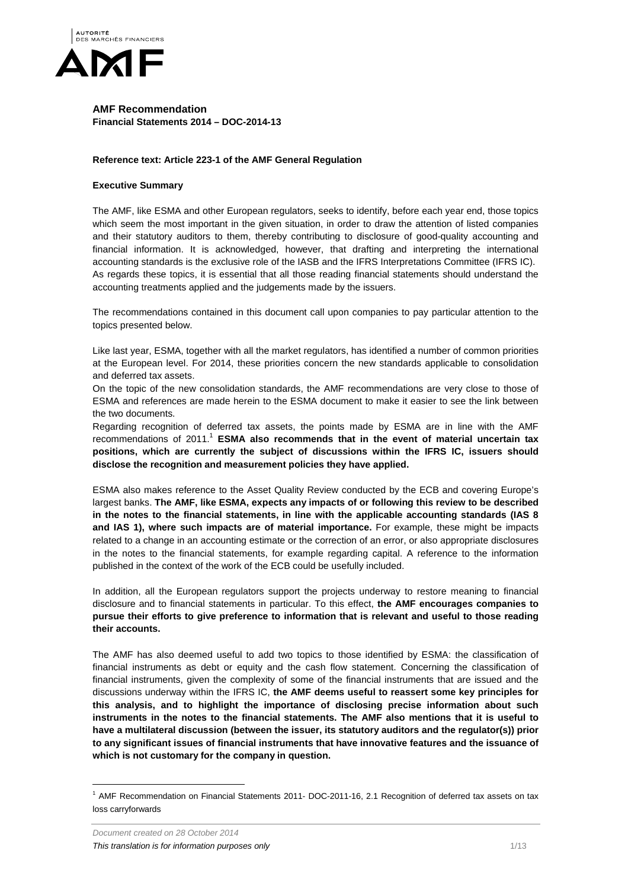

# **AMF Recommendation Financial Statements 2014 – DOC-2014-13**

# **Reference text: Article 223-1 of the AMF General Regulation**

## **Executive Summary**

The AMF, like ESMA and other European regulators, seeks to identify, before each year end, those topics which seem the most important in the given situation, in order to draw the attention of listed companies and their statutory auditors to them, thereby contributing to disclosure of good-quality accounting and financial information. It is acknowledged, however, that drafting and interpreting the international accounting standards is the exclusive role of the IASB and the IFRS Interpretations Committee (IFRS IC). As regards these topics, it is essential that all those reading financial statements should understand the accounting treatments applied and the judgements made by the issuers.

The recommendations contained in this document call upon companies to pay particular attention to the topics presented below.

Like last year, ESMA, together with all the market regulators, has identified a number of common priorities at the European level. For 2014, these priorities concern the new standards applicable to consolidation and deferred tax assets.

On the topic of the new consolidation standards, the AMF recommendations are very close to those of ESMA and references are made herein to the ESMA document to make it easier to see the link between the two documents.

Regarding recognition of deferred tax assets, the points made by ESMA are in line with the AMF recommendations of 2011.<sup>1</sup> ESMA also recommends that in the event of material uncertain tax **positions, which are currently the subject of discussions within the IFRS IC, issuers should disclose the recognition and measurement policies they have applied.**

ESMA also makes reference to the Asset Quality Review conducted by the ECB and covering Europe's largest banks. **The AMF, like ESMA, expects any impacts of or following this review to be described in the notes to the financial statements, in line with the applicable accounting standards (IAS 8 and IAS 1), where such impacts are of material importance.** For example, these might be impacts related to a change in an accounting estimate or the correction of an error, or also appropriate disclosures in the notes to the financial statements, for example regarding capital. A reference to the information published in the context of the work of the ECB could be usefully included.

In addition, all the European regulators support the projects underway to restore meaning to financial disclosure and to financial statements in particular. To this effect, **the AMF encourages companies to pursue their efforts to give preference to information that is relevant and useful to those reading their accounts.** 

The AMF has also deemed useful to add two topics to those identified by ESMA: the classification of financial instruments as debt or equity and the cash flow statement. Concerning the classification of financial instruments, given the complexity of some of the financial instruments that are issued and the discussions underway within the IFRS IC, **the AMF deems useful to reassert some key principles for this analysis, and to highlight the importance of disclosing precise information about such instruments in the notes to the financial statements. The AMF also mentions that it is useful to have a multilateral discussion (between the issuer, its statutory auditors and the regulator(s)) prior to any significant issues of financial instruments that have innovative features and the issuance of which is not customary for the company in question.** 

 $\overline{a}$ 

<sup>&</sup>lt;sup>1</sup> AMF Recommendation on Financial Statements 2011- DOC-2011-16, 2.1 Recognition of deferred tax assets on tax loss carryforwards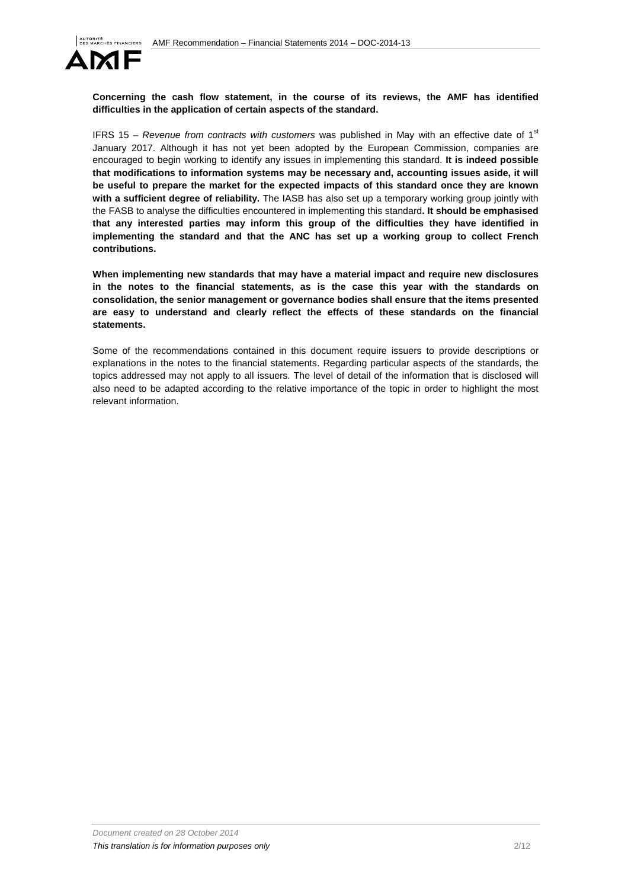

**Concerning the cash flow statement, in the course of its reviews, the AMF has identified difficulties in the application of certain aspects of the standard.** 

IFRS 15 – Revenue from contracts with customers was published in May with an effective date of  $1<sup>st</sup>$ January 2017. Although it has not yet been adopted by the European Commission, companies are encouraged to begin working to identify any issues in implementing this standard. **It is indeed possible that modifications to information systems may be necessary and, accounting issues aside, it will be useful to prepare the market for the expected impacts of this standard once they are known with a sufficient degree of reliability.** The IASB has also set up a temporary working group jointly with the FASB to analyse the difficulties encountered in implementing this standard**. It should be emphasised that any interested parties may inform this group of the difficulties they have identified in implementing the standard and that the ANC has set up a working group to collect French contributions.** 

**When implementing new standards that may have a material impact and require new disclosures in the notes to the financial statements, as is the case this year with the standards on consolidation, the senior management or governance bodies shall ensure that the items presented are easy to understand and clearly reflect the effects of these standards on the financial statements.** 

Some of the recommendations contained in this document require issuers to provide descriptions or explanations in the notes to the financial statements. Regarding particular aspects of the standards, the topics addressed may not apply to all issuers. The level of detail of the information that is disclosed will also need to be adapted according to the relative importance of the topic in order to highlight the most relevant information.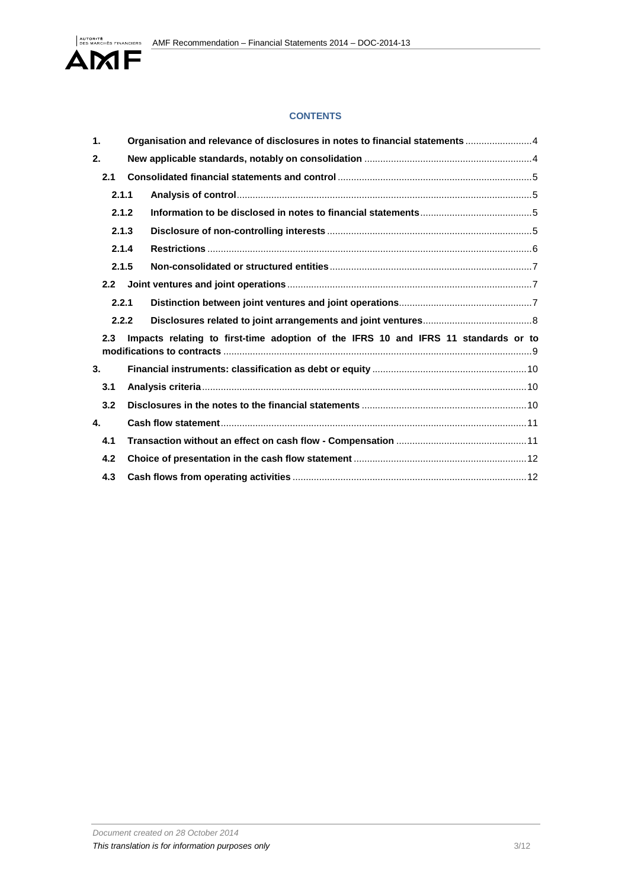

# **CONTENTS**

| $\mathbf 1$ .                                                                             |       |  | Organisation and relevance of disclosures in notes to financial statements  4 |  |
|-------------------------------------------------------------------------------------------|-------|--|-------------------------------------------------------------------------------|--|
| 2.                                                                                        |       |  |                                                                               |  |
|                                                                                           | 2.1   |  |                                                                               |  |
|                                                                                           | 2.1.1 |  |                                                                               |  |
|                                                                                           | 2.1.2 |  |                                                                               |  |
|                                                                                           | 2.1.3 |  |                                                                               |  |
|                                                                                           | 2.1.4 |  |                                                                               |  |
|                                                                                           | 2.1.5 |  |                                                                               |  |
|                                                                                           | 2.2   |  |                                                                               |  |
|                                                                                           | 2.2.1 |  |                                                                               |  |
|                                                                                           | 2.2.2 |  |                                                                               |  |
| Impacts relating to first-time adoption of the IFRS 10 and IFRS 11 standards or to<br>2.3 |       |  |                                                                               |  |
| 3.                                                                                        |       |  |                                                                               |  |
|                                                                                           | 3.1   |  |                                                                               |  |
|                                                                                           | 3.2   |  |                                                                               |  |
| 4.                                                                                        |       |  |                                                                               |  |
|                                                                                           | 4.1   |  |                                                                               |  |
|                                                                                           | 4.2   |  |                                                                               |  |
|                                                                                           | 4.3   |  |                                                                               |  |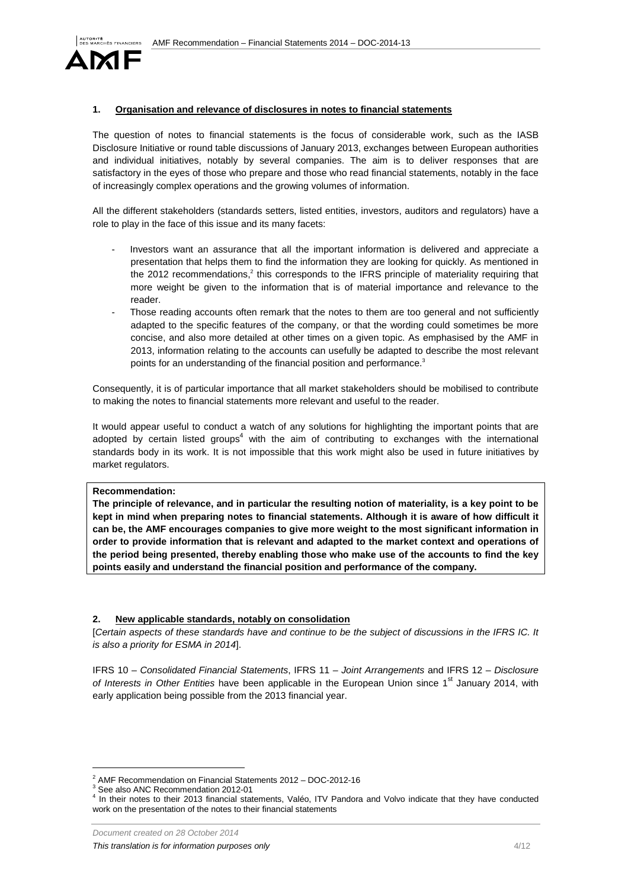

# **1. Organisation and relevance of disclosures in notes to financial statements**

The question of notes to financial statements is the focus of considerable work, such as the IASB Disclosure Initiative or round table discussions of January 2013, exchanges between European authorities and individual initiatives, notably by several companies. The aim is to deliver responses that are satisfactory in the eyes of those who prepare and those who read financial statements, notably in the face of increasingly complex operations and the growing volumes of information.

All the different stakeholders (standards setters, listed entities, investors, auditors and regulators) have a role to play in the face of this issue and its many facets:

- Investors want an assurance that all the important information is delivered and appreciate a presentation that helps them to find the information they are looking for quickly. As mentioned in the 2012 recommendations,<sup>2</sup> this corresponds to the IFRS principle of materiality requiring that more weight be given to the information that is of material importance and relevance to the reader.
- Those reading accounts often remark that the notes to them are too general and not sufficiently adapted to the specific features of the company, or that the wording could sometimes be more concise, and also more detailed at other times on a given topic. As emphasised by the AMF in 2013, information relating to the accounts can usefully be adapted to describe the most relevant points for an understanding of the financial position and performance. $3$

Consequently, it is of particular importance that all market stakeholders should be mobilised to contribute to making the notes to financial statements more relevant and useful to the reader.

It would appear useful to conduct a watch of any solutions for highlighting the important points that are adopted by certain listed groups<sup>4</sup> with the aim of contributing to exchanges with the international standards body in its work. It is not impossible that this work might also be used in future initiatives by market regulators.

#### **Recommendation:**

**The principle of relevance, and in particular the resulting notion of materiality, is a key point to be kept in mind when preparing notes to financial statements. Although it is aware of how difficult it can be, the AMF encourages companies to give more weight to the most significant information in order to provide information that is relevant and adapted to the market context and operations of the period being presented, thereby enabling those who make use of the accounts to find the key points easily and understand the financial position and performance of the company.** 

## **2. New applicable standards, notably on consolidation**

[Certain aspects of these standards have and continue to be the subject of discussions in the IFRS IC. It is also a priority for ESMA in 2014].

IFRS 10 – Consolidated Financial Statements, IFRS 11 – Joint Arrangements and IFRS 12 – Disclosure of Interests in Other Entities have been applicable in the European Union since  $1<sup>st</sup>$  January 2014, with early application being possible from the 2013 financial year.

 $\overline{a}$ 

<sup>&</sup>lt;sup>2</sup> AMF Recommendation on Financial Statements 2012 - DOC-2012-16

<sup>&</sup>lt;sup>3</sup> See also ANC Recommendation 2012-01

<sup>4</sup> In their notes to their 2013 financial statements, Valéo, ITV Pandora and Volvo indicate that they have conducted work on the presentation of the notes to their financial statements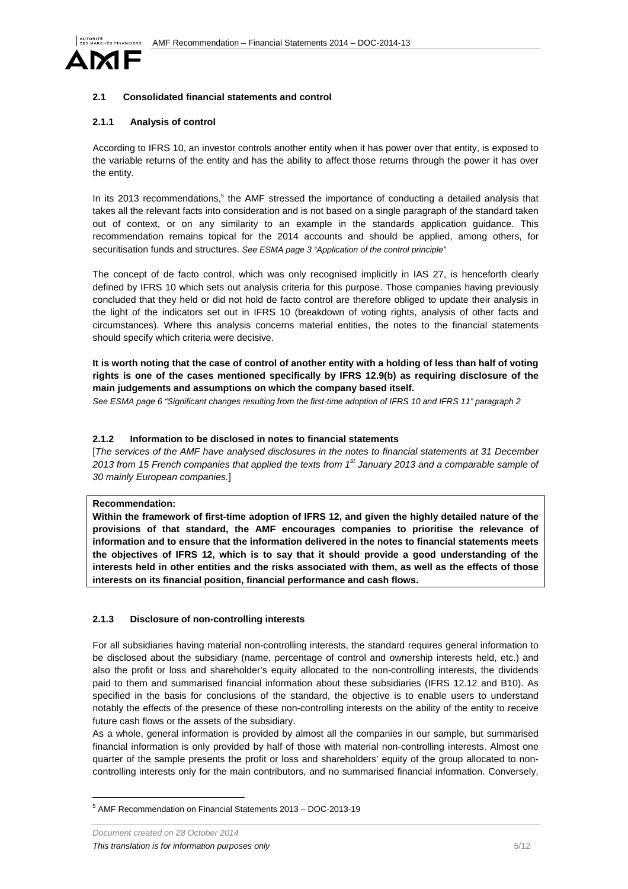

## **2.1 Consolidated financial statements and control**

## **2.1.1 Analysis of control**

According to IFRS 10, an investor controls another entity when it has power over that entity, is exposed to the variable returns of the entity and has the ability to affect those returns through the power it has over the entity.

In its 2013 recommendations,<sup>5</sup> the AMF stressed the importance of conducting a detailed analysis that takes all the relevant facts into consideration and is not based on a single paragraph of the standard taken out of context, or on any similarity to an example in the standards application guidance. This recommendation remains topical for the 2014 accounts and should be applied, among others, for securitisation funds and structures. See ESMA page 3 "Application of the control principle"

The concept of de facto control, which was only recognised implicitly in IAS 27, is henceforth clearly defined by IFRS 10 which sets out analysis criteria for this purpose. Those companies having previously concluded that they held or did not hold de facto control are therefore obliged to update their analysis in the light of the indicators set out in IFRS 10 (breakdown of voting rights, analysis of other facts and circumstances). Where this analysis concerns material entities, the notes to the financial statements should specify which criteria were decisive.

# **It is worth noting that the case of control of another entity with a holding of less than half of voting rights is one of the cases mentioned specifically by IFRS 12.9(b) as requiring disclosure of the main judgements and assumptions on which the company based itself.**

See ESMA page 6 "Significant changes resulting from the first-time adoption of IFRS 10 and IFRS 11" paragraph 2

## **2.1.2 Information to be disclosed in notes to financial statements**

[The services of the AMF have analysed disclosures in the notes to financial statements at 31 December 2013 from 15 French companies that applied the texts from  $1<sup>st</sup>$  January 2013 and a comparable sample of 30 mainly European companies.]

#### **Recommendation:**

**Within the framework of first-time adoption of IFRS 12, and given the highly detailed nature of the provisions of that standard, the AMF encourages companies to prioritise the relevance of information and to ensure that the information delivered in the notes to financial statements meets the objectives of IFRS 12, which is to say that it should provide a good understanding of the interests held in other entities and the risks associated with them, as well as the effects of those interests on its financial position, financial performance and cash flows.**

#### **2.1.3 Disclosure of non-controlling interests**

For all subsidiaries having material non-controlling interests, the standard requires general information to be disclosed about the subsidiary (name, percentage of control and ownership interests held, etc.) and also the profit or loss and shareholder's equity allocated to the non-controlling interests, the dividends paid to them and summarised financial information about these subsidiaries (IFRS 12.12 and B10). As specified in the basis for conclusions of the standard, the objective is to enable users to understand notably the effects of the presence of these non-controlling interests on the ability of the entity to receive future cash flows or the assets of the subsidiary.

As a whole, general information is provided by almost all the companies in our sample, but summarised financial information is only provided by half of those with material non-controlling interests. Almost one quarter of the sample presents the profit or loss and shareholders' equity of the group allocated to noncontrolling interests only for the main contributors, and no summarised financial information. Conversely,

 $\overline{a}$ 

<sup>5</sup> AMF Recommendation on Financial Statements 2013 – DOC-2013-19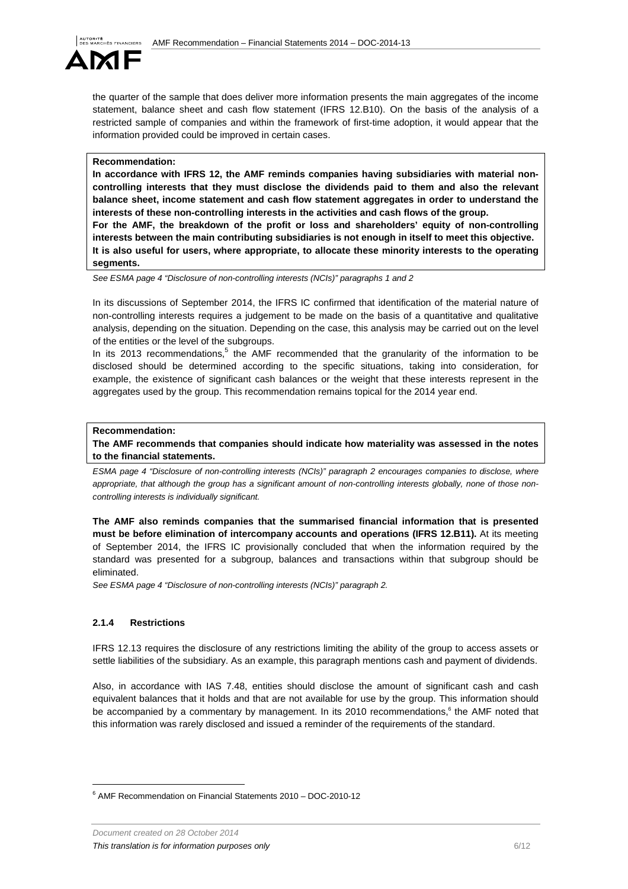

the quarter of the sample that does deliver more information presents the main aggregates of the income statement, balance sheet and cash flow statement (IFRS 12.B10). On the basis of the analysis of a restricted sample of companies and within the framework of first-time adoption, it would appear that the information provided could be improved in certain cases.

## **Recommendation:**

**In accordance with IFRS 12, the AMF reminds companies having subsidiaries with material noncontrolling interests that they must disclose the dividends paid to them and also the relevant balance sheet, income statement and cash flow statement aggregates in order to understand the interests of these non-controlling interests in the activities and cash flows of the group.** 

**For the AMF, the breakdown of the profit or loss and shareholders' equity of non-controlling interests between the main contributing subsidiaries is not enough in itself to meet this objective. It is also useful for users, where appropriate, to allocate these minority interests to the operating segments.** 

See ESMA page 4 "Disclosure of non-controlling interests (NCIs)" paragraphs 1 and 2

In its discussions of September 2014, the IFRS IC confirmed that identification of the material nature of non-controlling interests requires a judgement to be made on the basis of a quantitative and qualitative analysis, depending on the situation. Depending on the case, this analysis may be carried out on the level of the entities or the level of the subgroups.

In its 2013 recommendations,<sup>5</sup> the AMF recommended that the granularity of the information to be disclosed should be determined according to the specific situations, taking into consideration, for example, the existence of significant cash balances or the weight that these interests represent in the aggregates used by the group. This recommendation remains topical for the 2014 year end.

## **Recommendation:**

**The AMF recommends that companies should indicate how materiality was assessed in the notes to the financial statements.** 

ESMA page 4 "Disclosure of non-controlling interests (NCIs)" paragraph 2 encourages companies to disclose, where appropriate, that although the group has a significant amount of non-controlling interests globally, none of those noncontrolling interests is individually significant.

**The AMF also reminds companies that the summarised financial information that is presented must be before elimination of intercompany accounts and operations (IFRS 12.B11).** At its meeting of September 2014, the IFRS IC provisionally concluded that when the information required by the standard was presented for a subgroup, balances and transactions within that subgroup should be eliminated.

See ESMA page 4 "Disclosure of non-controlling interests (NCIs)" paragraph 2.

# **2.1.4 Restrictions**

 $\overline{a}$ 

IFRS 12.13 requires the disclosure of any restrictions limiting the ability of the group to access assets or settle liabilities of the subsidiary. As an example, this paragraph mentions cash and payment of dividends.

Also, in accordance with IAS 7.48, entities should disclose the amount of significant cash and cash equivalent balances that it holds and that are not available for use by the group. This information should be accompanied by a commentary by management. In its 2010 recommendations,<sup>6</sup> the AMF noted that this information was rarely disclosed and issued a reminder of the requirements of the standard.

<sup>6</sup> AMF Recommendation on Financial Statements 2010 – DOC-2010-12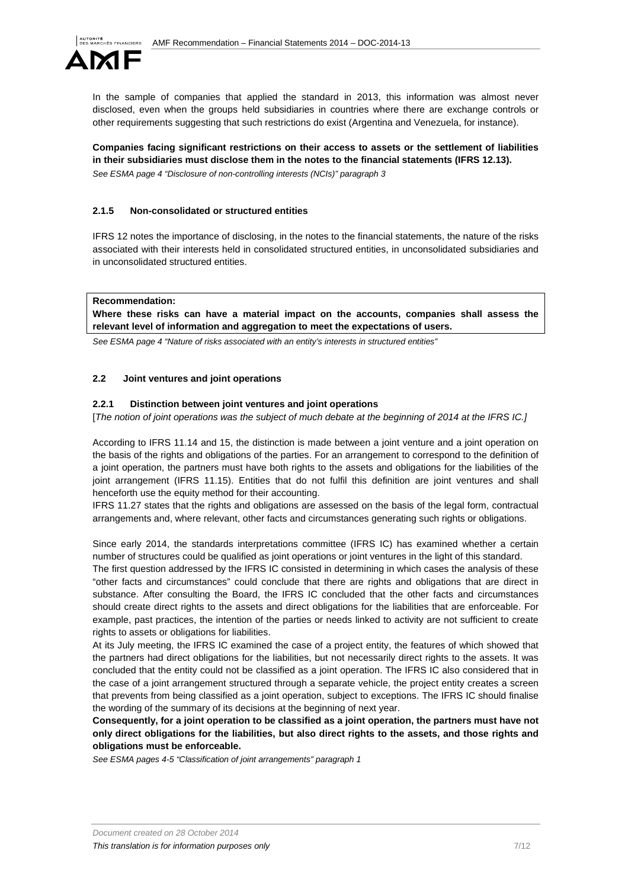

In the sample of companies that applied the standard in 2013, this information was almost never disclosed, even when the groups held subsidiaries in countries where there are exchange controls or other requirements suggesting that such restrictions do exist (Argentina and Venezuela, for instance).

**Companies facing significant restrictions on their access to assets or the settlement of liabilities in their subsidiaries must disclose them in the notes to the financial statements (IFRS 12.13).**  See ESMA page 4 "Disclosure of non-controlling interests (NCIs)" paragraph 3

## **2.1.5 Non-consolidated or structured entities**

IFRS 12 notes the importance of disclosing, in the notes to the financial statements, the nature of the risks associated with their interests held in consolidated structured entities, in unconsolidated subsidiaries and in unconsolidated structured entities.

#### **Recommendation:**

**Where these risks can have a material impact on the accounts, companies shall assess the relevant level of information and aggregation to meet the expectations of users.** 

See ESMA page 4 "Nature of risks associated with an entity's interests in structured entities"

#### **2.2 Joint ventures and joint operations**

#### **2.2.1 Distinction between joint ventures and joint operations**

[The notion of joint operations was the subject of much debate at the beginning of 2014 at the IFRS IC.]

According to IFRS 11.14 and 15, the distinction is made between a joint venture and a joint operation on the basis of the rights and obligations of the parties. For an arrangement to correspond to the definition of a joint operation, the partners must have both rights to the assets and obligations for the liabilities of the joint arrangement (IFRS 11.15). Entities that do not fulfil this definition are joint ventures and shall henceforth use the equity method for their accounting.

IFRS 11.27 states that the rights and obligations are assessed on the basis of the legal form, contractual arrangements and, where relevant, other facts and circumstances generating such rights or obligations.

Since early 2014, the standards interpretations committee (IFRS IC) has examined whether a certain number of structures could be qualified as joint operations or joint ventures in the light of this standard.

The first question addressed by the IFRS IC consisted in determining in which cases the analysis of these "other facts and circumstances" could conclude that there are rights and obligations that are direct in substance. After consulting the Board, the IFRS IC concluded that the other facts and circumstances should create direct rights to the assets and direct obligations for the liabilities that are enforceable. For example, past practices, the intention of the parties or needs linked to activity are not sufficient to create rights to assets or obligations for liabilities.

At its July meeting, the IFRS IC examined the case of a project entity, the features of which showed that the partners had direct obligations for the liabilities, but not necessarily direct rights to the assets. It was concluded that the entity could not be classified as a joint operation. The IFRS IC also considered that in the case of a joint arrangement structured through a separate vehicle, the project entity creates a screen that prevents from being classified as a joint operation, subject to exceptions. The IFRS IC should finalise the wording of the summary of its decisions at the beginning of next year.

**Consequently, for a joint operation to be classified as a joint operation, the partners must have not only direct obligations for the liabilities, but also direct rights to the assets, and those rights and obligations must be enforceable.** 

See ESMA pages 4-5 "Classification of joint arrangements" paragraph 1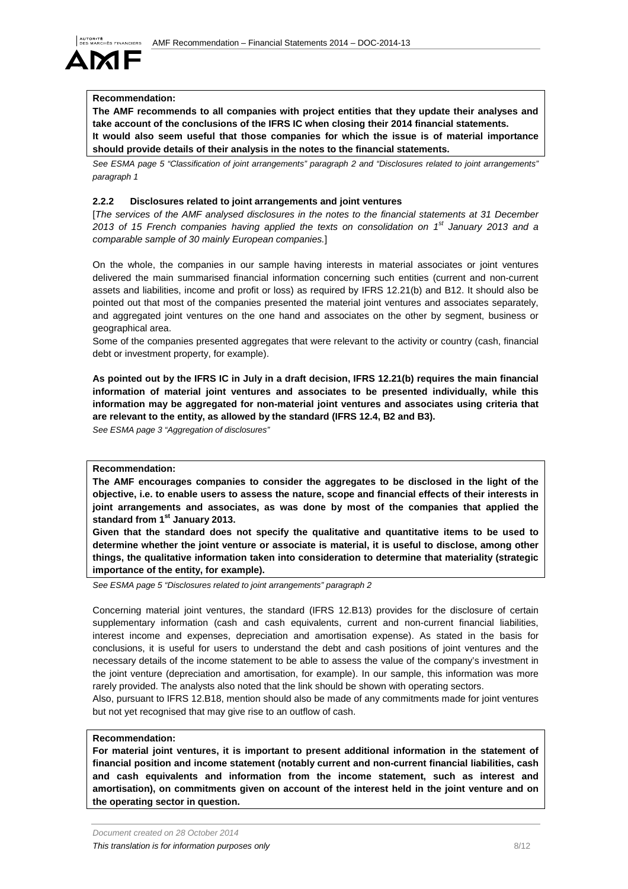# HÊS FINANCIERS

## **Recommendation:**

**The AMF recommends to all companies with project entities that they update their analyses and take account of the conclusions of the IFRS IC when closing their 2014 financial statements. It would also seem useful that those companies for which the issue is of material importance should provide details of their analysis in the notes to the financial statements.** 

See ESMA page 5 "Classification of joint arrangements" paragraph 2 and "Disclosures related to joint arrangements" paragraph 1

## **2.2.2 Disclosures related to joint arrangements and joint ventures**

[The services of the AMF analysed disclosures in the notes to the financial statements at 31 December 2013 of 15 French companies having applied the texts on consolidation on  $1^{st}$  January 2013 and a comparable sample of 30 mainly European companies.]

On the whole, the companies in our sample having interests in material associates or joint ventures delivered the main summarised financial information concerning such entities (current and non-current assets and liabilities, income and profit or loss) as required by IFRS 12.21(b) and B12. It should also be pointed out that most of the companies presented the material joint ventures and associates separately, and aggregated joint ventures on the one hand and associates on the other by segment, business or geographical area.

Some of the companies presented aggregates that were relevant to the activity or country (cash, financial debt or investment property, for example).

**As pointed out by the IFRS IC in July in a draft decision, IFRS 12.21(b) requires the main financial information of material joint ventures and associates to be presented individually, while this information may be aggregated for non-material joint ventures and associates using criteria that are relevant to the entity, as allowed by the standard (IFRS 12.4, B2 and B3).** 

See ESMA page 3 "Aggregation of disclosures"

## **Recommendation:**

**The AMF encourages companies to consider the aggregates to be disclosed in the light of the objective, i.e. to enable users to assess the nature, scope and financial effects of their interests in joint arrangements and associates, as was done by most of the companies that applied the standard from 1st January 2013.** 

**Given that the standard does not specify the qualitative and quantitative items to be used to determine whether the joint venture or associate is material, it is useful to disclose, among other things, the qualitative information taken into consideration to determine that materiality (strategic importance of the entity, for example).** 

See ESMA page 5 "Disclosures related to joint arrangements" paragraph 2

Concerning material joint ventures, the standard (IFRS 12.B13) provides for the disclosure of certain supplementary information (cash and cash equivalents, current and non-current financial liabilities, interest income and expenses, depreciation and amortisation expense). As stated in the basis for conclusions, it is useful for users to understand the debt and cash positions of joint ventures and the necessary details of the income statement to be able to assess the value of the company's investment in the joint venture (depreciation and amortisation, for example). In our sample, this information was more rarely provided. The analysts also noted that the link should be shown with operating sectors.

Also, pursuant to IFRS 12.B18, mention should also be made of any commitments made for joint ventures but not yet recognised that may give rise to an outflow of cash.

#### **Recommendation:**

**For material joint ventures, it is important to present additional information in the statement of financial position and income statement (notably current and non-current financial liabilities, cash and cash equivalents and information from the income statement, such as interest and amortisation), on commitments given on account of the interest held in the joint venture and on the operating sector in question.**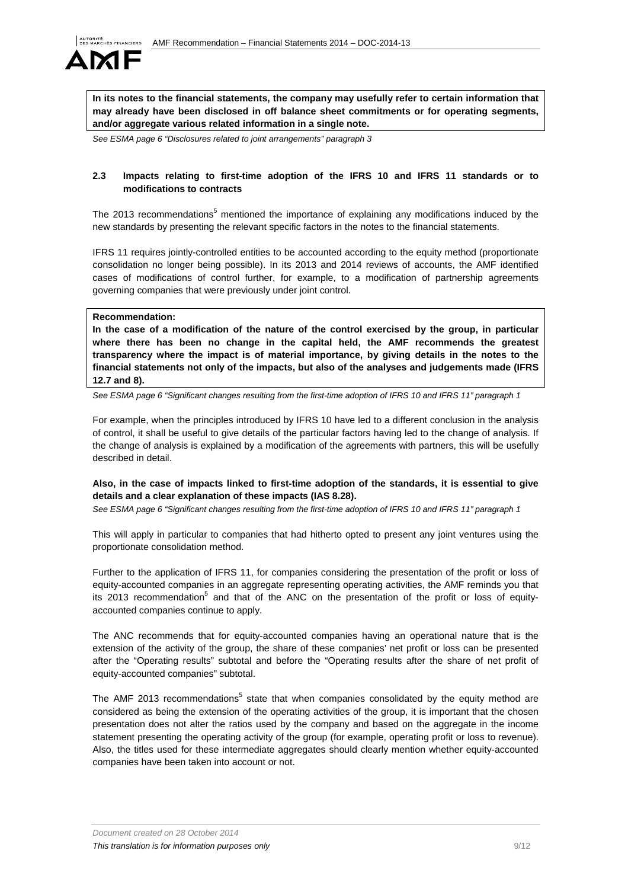

**In its notes to the financial statements, the company may usefully refer to certain information that may already have been disclosed in off balance sheet commitments or for operating segments, and/or aggregate various related information in a single note.** 

See ESMA page 6 "Disclosures related to joint arrangements" paragraph 3

## **2.3 Impacts relating to first-time adoption of the IFRS 10 and IFRS 11 standards or to modifications to contracts**

The 2013 recommendations<sup>5</sup> mentioned the importance of explaining any modifications induced by the new standards by presenting the relevant specific factors in the notes to the financial statements.

IFRS 11 requires jointly-controlled entities to be accounted according to the equity method (proportionate consolidation no longer being possible). In its 2013 and 2014 reviews of accounts, the AMF identified cases of modifications of control further, for example, to a modification of partnership agreements governing companies that were previously under joint control.

### **Recommendation:**

**In the case of a modification of the nature of the control exercised by the group, in particular where there has been no change in the capital held, the AMF recommends the greatest transparency where the impact is of material importance, by giving details in the notes to the financial statements not only of the impacts, but also of the analyses and judgements made (IFRS 12.7 and 8).** 

See ESMA page 6 "Significant changes resulting from the first-time adoption of IFRS 10 and IFRS 11" paragraph 1

For example, when the principles introduced by IFRS 10 have led to a different conclusion in the analysis of control, it shall be useful to give details of the particular factors having led to the change of analysis. If the change of analysis is explained by a modification of the agreements with partners, this will be usefully described in detail.

## **Also, in the case of impacts linked to first-time adoption of the standards, it is essential to give details and a clear explanation of these impacts (IAS 8.28).**

See ESMA page 6 "Significant changes resulting from the first-time adoption of IFRS 10 and IFRS 11" paragraph 1

This will apply in particular to companies that had hitherto opted to present any joint ventures using the proportionate consolidation method.

Further to the application of IFRS 11, for companies considering the presentation of the profit or loss of equity-accounted companies in an aggregate representing operating activities, the AMF reminds you that its 2013 recommendation<sup>5</sup> and that of the ANC on the presentation of the profit or loss of equityaccounted companies continue to apply.

The ANC recommends that for equity-accounted companies having an operational nature that is the extension of the activity of the group, the share of these companies' net profit or loss can be presented after the "Operating results" subtotal and before the "Operating results after the share of net profit of equity-accounted companies" subtotal.

The AMF 2013 recommendations<sup>5</sup> state that when companies consolidated by the equity method are considered as being the extension of the operating activities of the group, it is important that the chosen presentation does not alter the ratios used by the company and based on the aggregate in the income statement presenting the operating activity of the group (for example, operating profit or loss to revenue). Also, the titles used for these intermediate aggregates should clearly mention whether equity-accounted companies have been taken into account or not.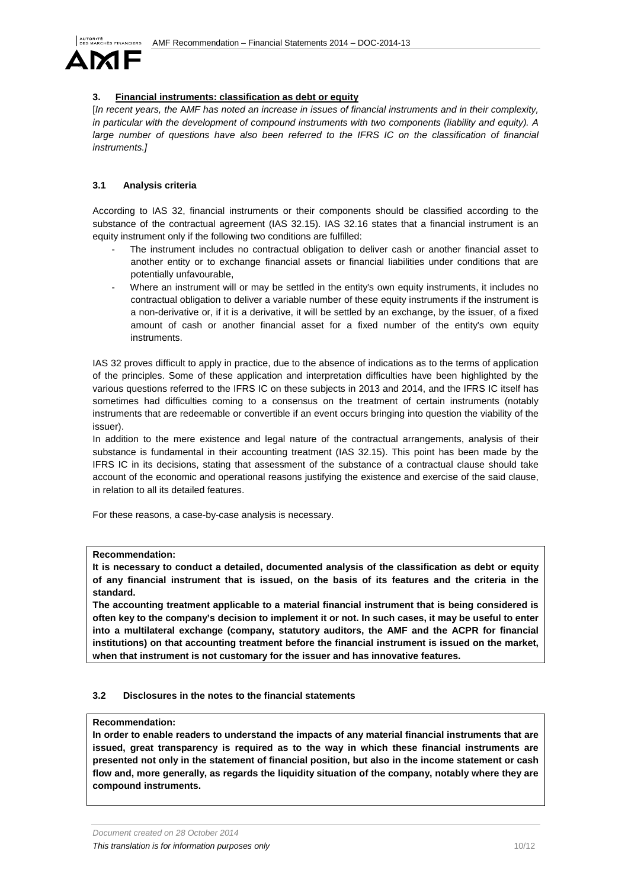

# **3. Financial instruments: classification as debt or equity**

[In recent years, the AMF has noted an increase in issues of financial instruments and in their complexity, in particular with the development of compound instruments with two components (liability and equity). A large number of questions have also been referred to the IFRS IC on the classification of financial instruments.]

# **3.1 Analysis criteria**

According to IAS 32, financial instruments or their components should be classified according to the substance of the contractual agreement (IAS 32.15). IAS 32.16 states that a financial instrument is an equity instrument only if the following two conditions are fulfilled:

- The instrument includes no contractual obligation to deliver cash or another financial asset to another entity or to exchange financial assets or financial liabilities under conditions that are potentially unfavourable,
- Where an instrument will or may be settled in the entity's own equity instruments, it includes no contractual obligation to deliver a variable number of these equity instruments if the instrument is a non-derivative or, if it is a derivative, it will be settled by an exchange, by the issuer, of a fixed amount of cash or another financial asset for a fixed number of the entity's own equity instruments.

IAS 32 proves difficult to apply in practice, due to the absence of indications as to the terms of application of the principles. Some of these application and interpretation difficulties have been highlighted by the various questions referred to the IFRS IC on these subjects in 2013 and 2014, and the IFRS IC itself has sometimes had difficulties coming to a consensus on the treatment of certain instruments (notably instruments that are redeemable or convertible if an event occurs bringing into question the viability of the issuer).

In addition to the mere existence and legal nature of the contractual arrangements, analysis of their substance is fundamental in their accounting treatment (IAS 32.15). This point has been made by the IFRS IC in its decisions, stating that assessment of the substance of a contractual clause should take account of the economic and operational reasons justifying the existence and exercise of the said clause, in relation to all its detailed features.

For these reasons, a case-by-case analysis is necessary.

#### **Recommendation:**

**It is necessary to conduct a detailed, documented analysis of the classification as debt or equity of any financial instrument that is issued, on the basis of its features and the criteria in the standard.** 

**The accounting treatment applicable to a material financial instrument that is being considered is often key to the company's decision to implement it or not. In such cases, it may be useful to enter into a multilateral exchange (company, statutory auditors, the AMF and the ACPR for financial institutions) on that accounting treatment before the financial instrument is issued on the market, when that instrument is not customary for the issuer and has innovative features.**

## **3.2 Disclosures in the notes to the financial statements**

## **Recommendation:**

**In order to enable readers to understand the impacts of any material financial instruments that are issued, great transparency is required as to the way in which these financial instruments are presented not only in the statement of financial position, but also in the income statement or cash flow and, more generally, as regards the liquidity situation of the company, notably where they are compound instruments.**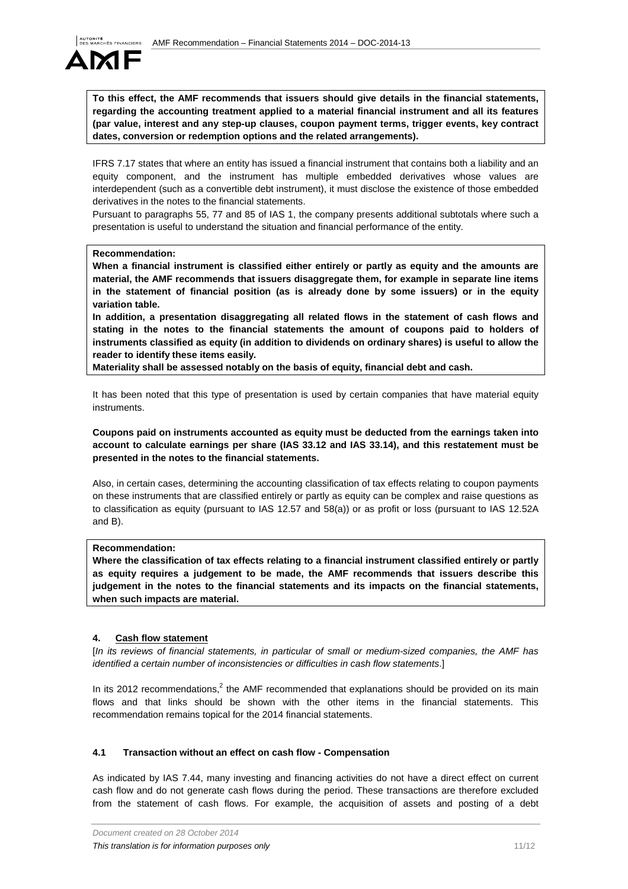

**To this effect, the AMF recommends that issuers should give details in the financial statements, regarding the accounting treatment applied to a material financial instrument and all its features (par value, interest and any step-up clauses, coupon payment terms, trigger events, key contract dates, conversion or redemption options and the related arrangements).**

IFRS 7.17 states that where an entity has issued a financial instrument that contains both a liability and an equity component, and the instrument has multiple embedded derivatives whose values are interdependent (such as a convertible debt instrument), it must disclose the existence of those embedded derivatives in the notes to the financial statements.

Pursuant to paragraphs 55, 77 and 85 of IAS 1, the company presents additional subtotals where such a presentation is useful to understand the situation and financial performance of the entity.

#### **Recommendation:**

**When a financial instrument is classified either entirely or partly as equity and the amounts are material, the AMF recommends that issuers disaggregate them, for example in separate line items in the statement of financial position (as is already done by some issuers) or in the equity variation table.** 

**In addition, a presentation disaggregating all related flows in the statement of cash flows and stating in the notes to the financial statements the amount of coupons paid to holders of instruments classified as equity (in addition to dividends on ordinary shares) is useful to allow the reader to identify these items easily.**

**Materiality shall be assessed notably on the basis of equity, financial debt and cash.** 

It has been noted that this type of presentation is used by certain companies that have material equity instruments.

 **Coupons paid on instruments accounted as equity must be deducted from the earnings taken into account to calculate earnings per share (IAS 33.12 and IAS 33.14), and this restatement must be presented in the notes to the financial statements.**

Also, in certain cases, determining the accounting classification of tax effects relating to coupon payments on these instruments that are classified entirely or partly as equity can be complex and raise questions as to classification as equity (pursuant to IAS 12.57 and 58(a)) or as profit or loss (pursuant to IAS 12.52A and B).

## **Recommendation:**

**Where the classification of tax effects relating to a financial instrument classified entirely or partly as equity requires a judgement to be made, the AMF recommends that issuers describe this judgement in the notes to the financial statements and its impacts on the financial statements, when such impacts are material.** 

#### **4. Cash flow statement**

[In its reviews of financial statements, in particular of small or medium-sized companies, the AMF has identified a certain number of inconsistencies or difficulties in cash flow statements.]

In its 2012 recommendations,<sup>2</sup> the AMF recommended that explanations should be provided on its main flows and that links should be shown with the other items in the financial statements. This recommendation remains topical for the 2014 financial statements.

#### **4.1 Transaction without an effect on cash flow - Compensation**

As indicated by IAS 7.44, many investing and financing activities do not have a direct effect on current cash flow and do not generate cash flows during the period. These transactions are therefore excluded from the statement of cash flows. For example, the acquisition of assets and posting of a debt